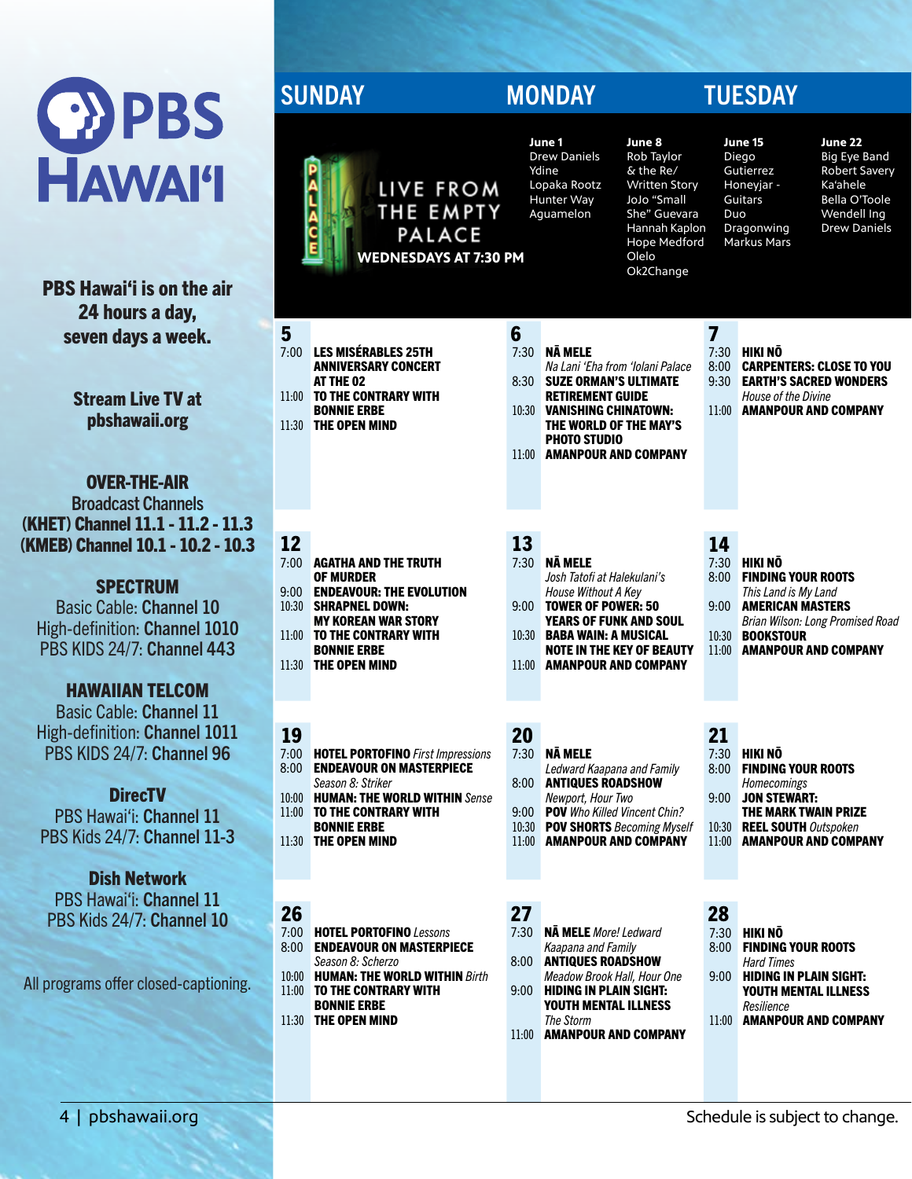

PBS Hawai'i is on the air 24 hours a day, seven days a week.

> Stream Live TV at pbshawaii.org

OVER-THE-AIR Broadcast Channels (KHET) Channel 11.1 - 11.2 - 11.3 (KMEB) Channel 10.1 - 10.2 - 10.3

**SPECTRUM** Basic Cable: Channel 10 High-definition: Channel 1010 PBS KIDS 24/7: Channel 443

## HAWAIIAN TELCOM

Basic Cable: Channel 11 High-definition: Channel 1011 PBS KIDS 24/7: Channel 96

**DirecTV** PBS Hawai'i: Channel 11 PBS Kids 24/7: Channel 11-3

Dish Network PBS Hawai'i: Channel 11 PBS Kids 24/7: Channel 10

All programs offer closed-captioning.

# SUNDAY MONDAY TUESDAY

**June 1**  $\overline{D}$ Yd Lo



| 5     |                             | 6     |                                  |    |
|-------|-----------------------------|-------|----------------------------------|----|
|       | 7:00 LES MISÉRABLES 25TH    | 7:30  | <b>NĀ MELE</b>                   | 7: |
|       | <b>ANNIVERSARY CONCERT</b>  |       | Na Lani 'Eha from 'Iolani Palace | 8: |
|       | AT THE 02                   |       | 8:30 SUZE ORMAN'S ULTIMATE       | 9: |
| 11:00 | <b>TO THE CONTRARY WITH</b> |       | <b>RETIREMENT GUIDE</b>          |    |
|       | <b>BONNIE ERBE</b>          | 10:30 | <b>VANISHING CHINATOWN:</b>      | 11 |
|       | 11:30 THE OPEN MIND         |       | THE WORLD OF THE MAY'S           |    |

# 12 13 14

| 7:00  | <b>AGATHA AND THE TRUTH</b>     |
|-------|---------------------------------|
|       | <b>OF MURDER</b>                |
| 9:00. | <b>ENDEAVOUR: THE EVOLUTION</b> |
| 10:30 | <b>SHRAPNEL DOWN:</b>           |
|       | <b>MY KOREAN WAR STORY</b>      |
| 11:00 | TO THE CONTRARY WITH            |
|       | <b>BONNIE ERBE</b>              |
|       | 11:30 THE OPEN MIND             |

## 19

| 7:00  | <b>HOTEL PORTOFINO</b> First Impressions |
|-------|------------------------------------------|
| 8:00  | <b>ENDEAVOUR ON MASTERPIECE</b>          |
|       | Season 8: Striker                        |
| 10:00 | <b>HUMAN: THE WORLD WITHIN Sense</b>     |
| 11:00 | TO THE CONTRARY WITH                     |
|       | <b>BONNIE ERBE</b>                       |
| 11:30 | THE OPEN MIND                            |
|       |                                          |
|       |                                          |

- 7:00 HOTEL PORTOFINO *Lessons* 8:00 **ENDEAVOUR ON MASTERPIECE** *Season 8: Scherzo* 10:00 HUMAN: THE WORLD WITHIN *Birth* 11:00 TO THE CONTRARY WITH
- BONNIE ERBE 11:30 THE OPEN MIND
- 

| June 1              |  |
|---------------------|--|
| <b>Drew Daniels</b> |  |
| Ydine               |  |
| Lopaka Rootz        |  |
| Hunter Way          |  |
| Aquamelon           |  |
|                     |  |
|                     |  |
|                     |  |
|                     |  |

### **June 8** Rob Taylor  $\overline{\mathsf{k}}$  the Re/ Written Story JoJo "Small She" Guevara Hannah Kaplon Hope Medford Olelo Ok2Change

**June 15** Diego **Gutierrez** Honeyjar - Guitars Duo Dragonwing Markus Mars

7:30 **HIKI NO<br>8:00 CARPEN** 

### **June 22** Big Eye Band Robert Savery Ka'ahele

Bella O'Toole Wendell Ing Drew Daniels

8:00 CARPENTERS: CLOSE TO YOU 9:30 EARTH'S SACRED WONDERS *House of the Divine* 11:00 AMANPOUR AND COMPANY

# 7:30 NĀ MELE

- *Na Lani 'Eha from 'Iolani Palace* 8:30 SUZE ORMAN'S ULTIMATE RETIREMENT GUIDE
- 10:30 VANISHING CHINATOWN: THE WORLD OF THE MAY'S PHOTO STUDIO
- 11:00 AMANPOUR AND COMPANY

- 7:30 NĀ MELE *Josh Tatofi at Halekulani's House Without A Key* 9:00 TOWER OF POWER: 50 YEARS OF FUNK AND SOUL
- 10:30 BABA WAIN: A MUSICAL NOTE IN THE KEY OF BEAUTY
- 11:00 AMANPOUR AND COMPANY

20 21 7:30 NĀ MELE *Ledward Kaapana and Family* 8:00 ANTIQUES ROADSHOW *Newport, Hour Two* 9:00 **POV** *Who Killed Vincent Chin?*<br>10:30 **POV SHORTS** Becoming Myse **POV SHORTS** Becoming Myself 11:00 AMANPOUR AND COMPANY

- 7:30 NĀ MELE *More! Ledward Kaapana and Family* 8:00 ANTIQUES ROADSHOW
- *Meadow Brook Hall, Hour One* 9:00 HIDING IN PLAIN SIGHT: YOUTH MENTAL ILLNESS *The Storm*
- 11:00 AMANPOUR AND COMPANY

- 7:30 HIKI NŌ 8:00 FINDING YOUR ROOTS
	- *This Land is My Land*
- 9:00 AMERICAN MASTERS *Brian Wilson: Long Promised Road* 10:30 BOOKSTOUR
- 11:00 AMANPOUR AND COMPANY
	-

- 7:30 HIKI NŌ 8:00 FINDING YOUR ROOTS
	- *Homecomings*
- 9:00 JON STEWART: THE MARK TWAIN PRIZE
- 10:30 REEL SOUTH *Outspoken*
- 11:00 AMANPOUR AND COMPANY

### 26 27 28

- 7:30 HIKI NŌ 8:00 FINDING YOUR ROOTS
- *Hard Times* 9:00 HIDING IN PLAIN SIGHT: YOUTH MENTAL ILLNESS
- *Resilience* 11:00 AMANPOUR AND COMPANY